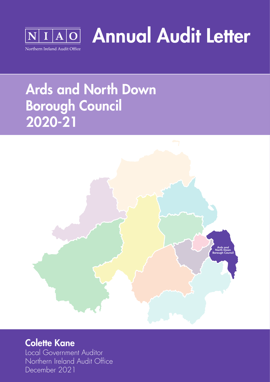

Annual Audit Letter

# Ards and North Down Borough Council 2020-21



### Colette Kane

Local Government Auditor Northern Ireland Audit Office December 2021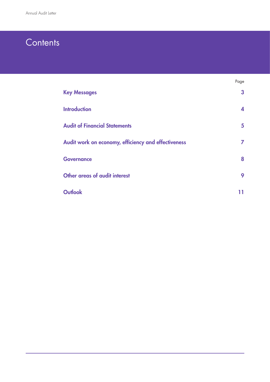## **Contents**

|                                                     | Page         |
|-----------------------------------------------------|--------------|
| <b>Key Messages</b>                                 | $\mathbf{3}$ |
| <b>Introduction</b>                                 | 4            |
| <b>Audit of Financial Statements</b>                | 5            |
| Audit work on economy, efficiency and effectiveness | 7            |
| <b>Governance</b>                                   | 8            |
| Other areas of audit interest                       | 9            |
| <b>Outlook</b>                                      | 11           |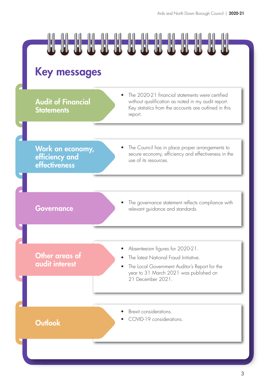

# Key messages

**Audit of Financial Statements** 

The 2020-21 financial statements were certified without qualification as noted in my audit report. Key statistics from the accounts are outlined in this report.

Work on economy, efficiency and effectiveness

The Council has in place proper arrangements to secure economy, efficiency and effectiveness in the use of its resources.

The governance statement reflects compliance with **Governance relevant guidance and standards.** 

Other areas of audit interest

- Absenteeism figures for 2020-21.
- The latest National Fraud Initiative.
- The Local Government Auditor's Report for the year to 31 March 2021 was published on 21 December 2021.

- Brexit considerations.
- COVID-19 considerations. Outlook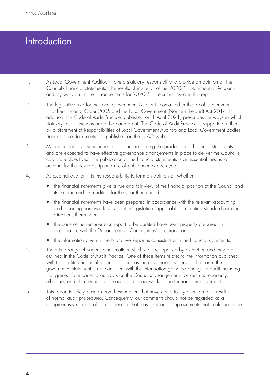## Introduction

- 1. As Local Government Auditor, I have a statutory responsibility to provide an opinion on the Council's financial statements. The results of my audit of the 2020-21 Statement of Accounts and my work on proper arrangements for 2020-21 are summarised in this report.
- 2. The legislative role for the Local Government Auditor is contained in the Local Government (Northern Ireland) Order 2005 and the Local Government (Northern Ireland) Act 2014. In addition, the Code of Audit Practice, published on 1 April 2021, prescribes the ways in which statutory audit functions are to be carried out. The Code of Audit Practice is supported further by a Statement of Responsibilities of Local Government Auditors and Local Government Bodies. Both of these documents are published on the NIAO website.
- 3. Management have specific responsibilities regarding the production of financial statements and are expected to have effective governance arrangements in place to deliver the Council's corporate objectives. The publication of the financial statements is an essential means to account for the stewardship and use of public money each year.
- 4. As external auditor, it is my responsibility to form an opinion on whether:
	- the financial statements give a true and fair view of the financial position of the Council and its income and expenditure for the year then ended;
	- the financial statements have been prepared in accordance with the relevant accounting and reporting framework as set out in legislation, applicable accounting standards or other directions thereunder;
	- the parts of the remuneration report to be audited have been properly prepared in accordance with the Department for Communities' directions; and
	- the information given in the Narrative Report is consistent with the financial statements.
- 5. There is a range of various other matters which can be reported by exception and they are outlined in the Code of Audit Practice. One of these items relates to the information published with the audited financial statements, such as the governance statement. I report if the governance statement is not consistent with the information gathered during the audit including that gained from carrying out work on the Council's arrangements for securing economy, efficiency and effectiveness of resources, and our work on performance improvement.
- 6. This report is solely based upon those matters that have come to my attention as a result of normal audit procedures. Consequently, our comments should not be regarded as a comprehensive record of all deficiencies that may exist or all improvements that could be made.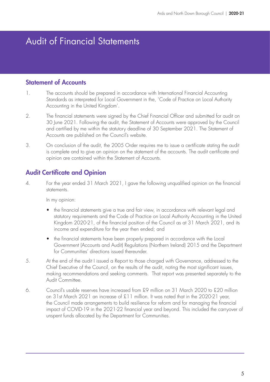## Audit of Financial Statements

#### Statement of Accounts

- 1. The accounts should be prepared in accordance with International Financial Accounting Standards as interpreted for Local Government in the, `Code of Practice on Local Authority Accounting in the United Kingdom'.
- 2. The financial statements were signed by the Chief Financial Officer and submitted for audit on 30 June 2021. Following the audit, the Statement of Accounts were approved by the Council and certified by me within the statutory deadline of 30 September 2021. The Statement of Accounts are published on the Council's website.
- 3. On conclusion of the audit, the 2005 Order requires me to issue a certificate stating the audit is complete and to give an opinion on the statement of the accounts. The audit certificate and opinion are contained within the Statement of Accounts.

#### Audit Certificate and Opinion

4. For the year ended 31 March 2021, I gave the following unqualified opinion on the financial statements.

In my opinion:

- the financial statements give a true and fair view, in accordance with relevant legal and statutory requirements and the Code of Practice on Local Authority Accounting in the United Kingdom 2020-21, of the financial position of the Council as at 31 March 2021, and its income and expenditure for the year then ended; and
- the financial statements have been properly prepared in accordance with the Local Government (Accounts and Audit) Regulations (Northern Ireland) 2015 and the Department for Communities' directions issued thereunder.
- 5. At the end of the audit I issued a Report to those charged with Governance, addressed to the Chief Executive of the Council, on the results of the audit, noting the most significant issues, making recommendations and seeking comments. That report was presented separately to the Audit Committee.
- 6. Council's usable reserves have increased from £9 million on 31 March 2020 to £20 million on 31st March 2021 an increase of £11 million. It was noted that in the 2020-21 year, the Council made arrangements to build resilience for reform and for managing the financial impact of COVID-19 in the 2021-22 financial year and beyond. This included the carryover of unspent funds allocated by the Department for Communities.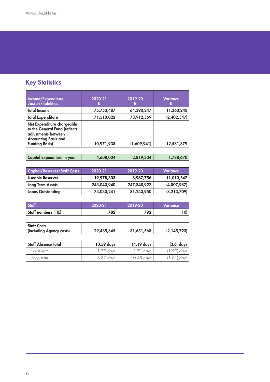### **Key Statistics**

| Income/Expenditure<br>/assets/liabilities                                                                                                  | 2020-21    | 2019-20     | <b>Variance</b> |
|--------------------------------------------------------------------------------------------------------------------------------------------|------------|-------------|-----------------|
| <b>Total Income</b>                                                                                                                        | 75,753,487 | 64,390,247  | 11,363,240      |
| <b>Total Expenditure</b>                                                                                                                   | 71,510,022 | 73,912,369  | (2,402,347)     |
| Net Expenditure chargeable<br>to the General Fund (reflects<br>adjustments between<br><b>Accounting Basis and</b><br><b>Funding Basis)</b> | 10,971,938 | (1,609,941) | 12,581,879      |

| Capital Expenditure in year | 4,608,004 | 2,819,334 | 1,788,670 |
|-----------------------------|-----------|-----------|-----------|
|                             |           |           |           |

| <b>Capital/Reserves/Staff Costs</b> | 2020-21     | 2019-20     | Variance      |
|-------------------------------------|-------------|-------------|---------------|
| Useable Reserves                    | 19,978,303  | 8,967,756   | 11,010,547    |
| Long Term Assets                    | 243,040,940 | 247,848,927 | (4,807,987)   |
| <b>Loans Outstanding</b>            | 73,030,241  | 81,243,950  | (8, 213, 709) |

| <b>Staff</b>                                   | 2020-21    | 2019-20     | Variance      |
|------------------------------------------------|------------|-------------|---------------|
| Staff numbers (FTE)                            | 782        | 792         | (10)          |
|                                                |            |             |               |
| <b>Staff Costs</b><br>(including Agency costs) | 29,485,845 | 31,631,568  | (2, 145, 723) |
|                                                |            |             |               |
| <b>Staff Absence Total</b>                     | 10.59 days | 14.19 days  | $(3.6)$ days  |
| - short term                                   | 1.72 days  | $3.71$ days | (1.99) days   |
| $-$ long term                                  | 8.87 days  | 10.48 days  | (1.61) days   |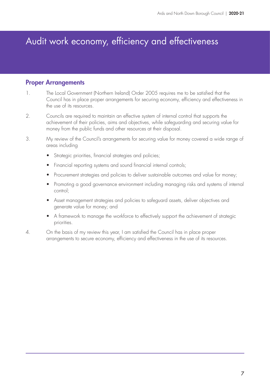# Audit work economy, efficiency and effectiveness

#### Proper Arrangements

- 1. The Local Government (Northern Ireland) Order 2005 requires me to be satisfied that the Council has in place proper arrangements for securing economy, efficiency and effectiveness in the use of its resources.
- 2. Councils are required to maintain an effective system of internal control that supports the achievement of their policies, aims and objectives, while safeguarding and securing value for money from the public funds and other resources at their disposal.
- 3. My review of the Council's arrangements for securing value for money covered a wide range of areas including
	- Strategic priorities, financial strategies and policies;
	- Financial reporting systems and sound financial internal controls;
	- Procurement strategies and policies to deliver sustainable outcomes and value for money;
	- Promoting a good governance environment including managing risks and systems of internal control;
	- Asset management strategies and policies to safeguard assets, deliver objectives and generate value for money; and
	- A framework to manage the workforce to effectively support the achievement of strategic priorities.
- 4. On the basis of my review this year, I am satisfied the Council has in place proper arrangements to secure economy, efficiency and effectiveness in the use of its resources.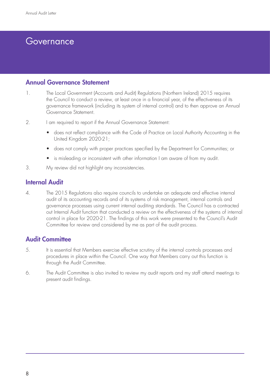### Governance

#### Annual Governance Statement

- 1. The Local Government (Accounts and Audit) Regulations (Northern Ireland) 2015 requires the Council to conduct a review, at least once in a financial year, of the effectiveness of its governance framework (including its system of internal control) and to then approve an Annual Governance Statement.
- 2. I am required to report if the Annual Governance Statement:
	- does not reflect compliance with the Code of Practice on Local Authority Accounting in the United Kingdom 2020-21;
	- does not comply with proper practices specified by the Department for Communities; or
	- is misleading or inconsistent with other information I am aware of from my audit.
- 3. My review did not highlight any inconsistencies.

#### Internal Audit

4. The 2015 Regulations also require councils to undertake an adequate and effective internal audit of its accounting records and of its systems of risk management, internal controls and governance processes using current internal auditing standards. The Council has a contracted out Internal Audit function that conducted a review on the effectiveness of the systems of internal control in place for 2020-21. The findings of this work were presented to the Council's Audit Committee for review and considered by me as part of the audit process.

#### Audit Committee

- 5. It is essential that Members exercise effective scrutiny of the internal controls processes and procedures in place within the Council. One way that Members carry out this function is through the Audit Committee.
- 6. The Audit Committee is also invited to review my audit reports and my staff attend meetings to present audit findings.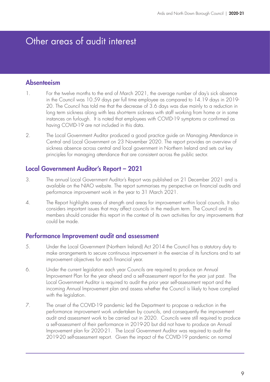### Other areas of audit interest

#### Absenteeism

- 1. For the twelve months to the end of March 2021, the average number of day's sick absence in the Council was 10.59 days per full time employee as compared to 14.19 days in 2019- 20. The Council has told me that the decrease of 3.6 days was due mainly to a reduction in long term sickness along with less short-term sickness with staff working from home or in some instances on furlough. It is noted that employees with COVID-19 symptoms or confirmed as having COVID-19 are not included in this data.
- 2. The Local Government Auditor produced a good practice guide on Managing Attendance in Central and Local Government on 23 November 2020. The report provides an overview of sickness absence across central and local government in Northern Ireland and sets out key principles for managing attendance that are consistent across the public sector.

#### Local Government Auditor's Report – 2021

- 3. The annual Local Government Auditor's Report was published on 21 December 2021 and is available on the NIAO website. The report summarises my perspective on financial audits and performance improvement work in the year to 31 March 2021.
- 4. The Report highlights areas of strength and areas for improvement within local councils. It also considers important issues that may affect councils in the medium term. The Council and its members should consider this report in the context of its own activities for any improvements that could be made.

#### Performance Improvement audit and assessment

- 5. Under the Local Government (Northern Ireland) Act 2014 the Council has a statutory duty to make arrangements to secure continuous improvement in the exercise of its functions and to set improvement objectives for each financial year.
- 6. Under the current legislation each year Councils are required to produce an Annual Improvement Plan for the year ahead and a self-assessment report for the year just past. The Local Government Auditor is required to audit the prior year self-assessment report and the incoming Annual Improvement plan and assess whether the Council is likely to have complied with the legislation.
- 7. The onset of the COVID-19 pandemic led the Department to propose a reduction in the performance improvement work undertaken by councils, and consequently the improvement audit and assessment work to be carried out in 2020. Councils were still required to produce a self-assessment of their performance in 2019-20 but did not have to produce an Annual Improvement plan for 2020-21. The Local Government Auditor was required to audit the 2019-20 self-assessment report. Given the impact of the COVID-19 pandemic on normal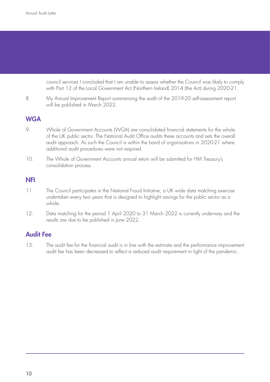council services I concluded that I am unable to assess whether the Council was likely to comply with Part 12 of the Local Government Act (Northern Ireland) 2014 (the Act) during 2020-21.

8. My Annual Improvement Report summarising the audit of the 2019-20 self-assessment report will be published in March 2022.

#### **WGA**

- 9. Whole of Government Accounts (WGA) are consolidated financial statements for the whole of the UK public sector. The National Audit Office audits these accounts and sets the overall audit approach. As such the Council is within the band of organisations in 2020-21 where additional audit procedures were not required.
- 10. The Whole of Government Accounts annual return will be submitted for HM Treasury's consolidation process.

#### NFI

- 11. The Council participates in the National Fraud Initiative, a UK wide data matching exercise undertaken every two years that is designed to highlight savings for the public sector as a whole.
- 12. Data matching for the period 1 April 2020 to 31 March 2022 is currently underway and the results are due to be published in June 2022.

#### Audit Fee

13. The audit fee for the financial audit is in line with the estimate and the performance improvement audit fee has been decreased to reflect a reduced audit requirement in light of the pandemic.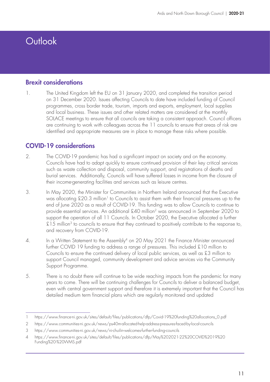# **Outlook**

#### Brexit considerations

1. The United Kingdom left the EU on 31 January 2020, and completed the transition period on 31 December 2020. Issues affecting Councils to date have included funding of Council programmes, cross border trade, tourism, imports and exports, employment, local supplies and local business. These issues and other related matters are considered at the monthly SOLACE meetings to ensure that all councils are taking a consistent approach. Council officers are continuing to work with colleagues across the 11 councils to ensure that areas of risk are identified and appropriate measures are in place to manage these risks where possible.

#### COVID-19 considerations

- 2. The COVID-19 pandemic has had a significant impact on society and on the economy. Councils have had to adapt quickly to ensure continued provision of their key critical services such as waste collection and disposal, community support, and registrations of deaths and burial services. Additionally, Councils will have suffered losses in income from the closure of their income-generating facilities and services such as leisure centres.
- 3. In May 2020, the Minister for Communities in Northern Ireland announced that the Executive was allocating £20.3 million<sup>1</sup> to Councils to assist them with their financial pressures up to the end of June 2020 as a result of COVID-19. This funding was to allow Councils to continue to provide essential services. An additional £40 million2 was announced in September 2020 to support the operation of all 11 Councils. In October 2020, the Executive allocated a further  $£15$  million<sup>3</sup> to councils to ensure that they continued to positively contribute to the response to, and recovery from COVID-19.
- 4. In a Written Statement to the Assembly<sup>4</sup> on 20 May 2021 the Finance Minister announced further COVID 19 funding to address a range of pressures. This included £10 million to Councils to ensure the continued delivery of local public services, as well as £3 million to support Council managed, community development and advice services via the Community Support Programme.
- 5. There is no doubt there will continue to be wide reaching impacts from the pandemic for many years to come. There will be continuing challenges for Councils to deliver a balanced budget, even with central government support and therefore it is extremely important that the Council has detailed medium term financial plans which are regularly monitored and updated

<sup>1</sup> https://www.finance-ni.gov.uk/sites/default/files/publications/dfp/Covid-19%20funding%20allocations\_0.pdf

<sup>2</sup> https://www.communities-ni.gov.uk/news/ps40m-allocated-help-address-pressures-faced-by-local-councils

<sup>3</sup> https://www.communities-ni.gov.uk/news/ni-chuilin-welcomes-further-funding-councils

<sup>4</sup> https://www.finance-ni.gov.uk/sites/default/files/publications/dfp/May%202021-22%20COVID%2019%20 Funding%20-%20WMS.pdf